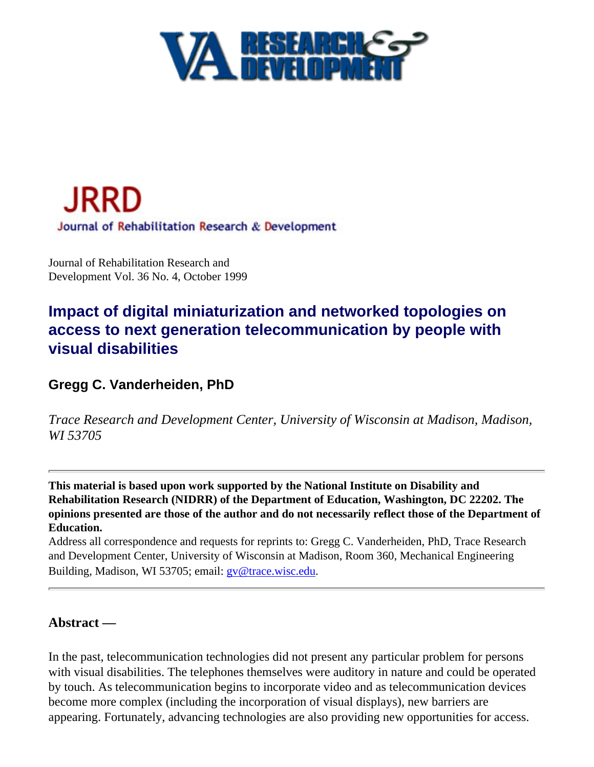



Journal of Rehabilitation Research and Development Vol. 36 No. 4, October 1999

# **Impact of digital miniaturization and networked topologies on access to next generation telecommunication by people with visual disabilities**

### <span id="page-0-0"></span>**Gregg C. Vanderheiden, PhD**

*Trace Research and Development Center, University of Wisconsin at Madison, Madison, WI 53705*

**This material is based upon work supported by the National Institute on Disability and Rehabilitation Research (NIDRR) of the Department of Education, Washington, DC 22202. The opinions presented are those of the author and do not necessarily reflect those of the Department of Education.**

Address all correspondence and requests for reprints to: Gregg C. Vanderheiden, PhD, Trace Research and Development Center, University of Wisconsin at Madison, Room 360, Mechanical Engineering Building, Madison, WI 53705; email: [gv@trace.wisc.edu](mailto:gv@trace.wisc.edu).

#### **Abstract —**

In the past, telecommunication technologies did not present any particular problem for persons with visual disabilities. The telephones themselves were auditory in nature and could be operated by touch. As telecommunication begins to incorporate video and as telecommunication devices become more complex (including the incorporation of visual displays), new barriers are appearing. Fortunately, advancing technologies are also providing new opportunities for access.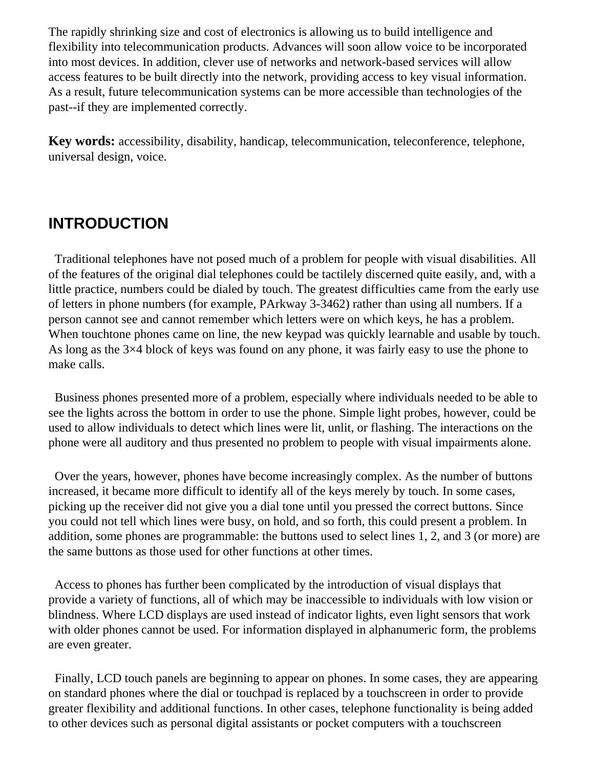The rapidly shrinking size and cost of electronics is allowing us to build intelligence and flexibility into telecommunication products. Advances will soon allow voice to be incorporated into most devices. In addition, clever use of networks and network-based services will allow access features to be built directly into the network, providing access to key visual information. As a result, future telecommunication systems can be more accessible than technologies of the past--if they are implemented correctly.

**Key words:** accessibility, disability, handicap, telecommunication, teleconference, telephone, universal design, voice.

# **INTRODUCTION**

 Traditional telephones have not posed much of a problem for people with visual disabilities. All of the features of the original dial telephones could be tactilely discerned quite easily, and, with a little practice, numbers could be dialed by touch. The greatest difficulties came from the early use of letters in phone numbers (for example, PArkway 3-3462) rather than using all numbers. If a person cannot see and cannot remember which letters were on which keys, he has a problem. When touchtone phones came on line, the new keypad was quickly learnable and usable by touch. As long as the 3×4 block of keys was found on any phone, it was fairly easy to use the phone to make calls.

 Business phones presented more of a problem, especially where individuals needed to be able to see the lights across the bottom in order to use the phone. Simple light probes, however, could be used to allow individuals to detect which lines were lit, unlit, or flashing. The interactions on the phone were all auditory and thus presented no problem to people with visual impairments alone.

 Over the years, however, phones have become increasingly complex. As the number of buttons increased, it became more difficult to identify all of the keys merely by touch. In some cases, picking up the receiver did not give you a dial tone until you pressed the correct buttons. Since you could not tell which lines were busy, on hold, and so forth, this could present a problem. In addition, some phones are programmable: the buttons used to select lines 1, 2, and 3 (or more) are the same buttons as those used for other functions at other times.

 Access to phones has further been complicated by the introduction of visual displays that provide a variety of functions, all of which may be inaccessible to individuals with low vision or blindness. Where LCD displays are used instead of indicator lights, even light sensors that work with older phones cannot be used. For information displayed in alphanumeric form, the problems are even greater.

 Finally, LCD touch panels are beginning to appear on phones. In some cases, they are appearing on standard phones where the dial or touchpad is replaced by a touchscreen in order to provide greater flexibility and additional functions. In other cases, telephone functionality is being added to other devices such as personal digital assistants or pocket computers with a touchscreen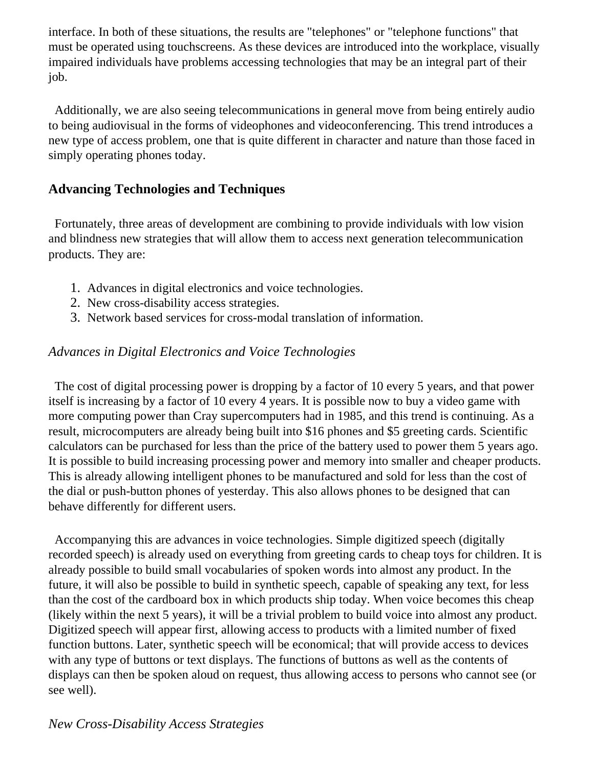interface. In both of these situations, the results are "telephones" or "telephone functions" that must be operated using touchscreens. As these devices are introduced into the workplace, visually impaired individuals have problems accessing technologies that may be an integral part of their job.

 Additionally, we are also seeing telecommunications in general move from being entirely audio to being audiovisual in the forms of videophones and videoconferencing. This trend introduces a new type of access problem, one that is quite different in character and nature than those faced in simply operating phones today.

#### **Advancing Technologies and Techniques**

 Fortunately, three areas of development are combining to provide individuals with low vision and blindness new strategies that will allow them to access next generation telecommunication products. They are:

- 1. Advances in digital electronics and voice technologies.
- 2. New cross-disability access strategies.
- 3. Network based services for cross-modal translation of information.

### *Advances in Digital Electronics and Voice Technologies*

 The cost of digital processing power is dropping by a factor of 10 every 5 years, and that power itself is increasing by a factor of 10 every 4 years. It is possible now to buy a video game with more computing power than Cray supercomputers had in 1985, and this trend is continuing. As a result, microcomputers are already being built into \$16 phones and \$5 greeting cards. Scientific calculators can be purchased for less than the price of the battery used to power them 5 years ago. It is possible to build increasing processing power and memory into smaller and cheaper products. This is already allowing intelligent phones to be manufactured and sold for less than the cost of the dial or push-button phones of yesterday. This also allows phones to be designed that can behave differently for different users.

 Accompanying this are advances in voice technologies. Simple digitized speech (digitally recorded speech) is already used on everything from greeting cards to cheap toys for children. It is already possible to build small vocabularies of spoken words into almost any product. In the future, it will also be possible to build in synthetic speech, capable of speaking any text, for less than the cost of the cardboard box in which products ship today. When voice becomes this cheap (likely within the next 5 years), it will be a trivial problem to build voice into almost any product. Digitized speech will appear first, allowing access to products with a limited number of fixed function buttons. Later, synthetic speech will be economical; that will provide access to devices with any type of buttons or text displays. The functions of buttons as well as the contents of displays can then be spoken aloud on request, thus allowing access to persons who cannot see (or see well).

### *New Cross-Disability Access Strategies*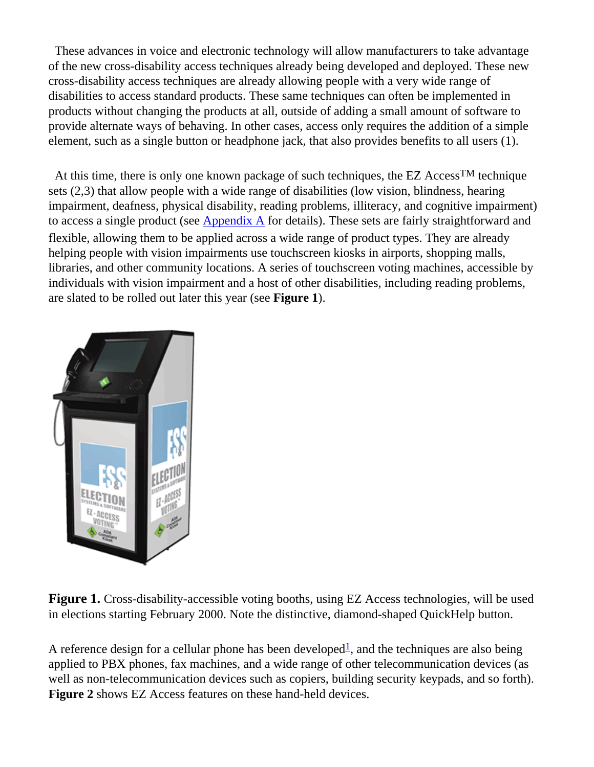These advances in voice and electronic technology will allow manufacturers to take advantage of the new cross-disability access techniques already being developed and deployed. These new cross-disability access techniques are already allowing people with a very wide range of disabilities to access standard products. These same techniques can often be implemented in products without changing the products at all, outside of adding a small amount of software to provide alternate ways of behaving. In other cases, access only requires the addition of a simple element, such as a single button or headphone jack, that also provides benefits to all users (1).

 At this time, there is only one known package of such techniques, the EZ AccessTM technique sets (2,3) that allow people with a wide range of disabilities (low vision, blindness, hearing impairment, deafness, physical disability, reading problems, illiteracy, and cognitive impairment) to access a single product (see [Appendix A](file:///C|/Journal/99/36/4/vandapp.htm) for details). These sets are fairly straightforward and flexible, allowing them to be applied across a wide range of product types. They are already helping people with vision impairments use touchscreen kiosks in airports, shopping malls, libraries, and other community locations. A series of touchscreen voting machines, accessible by individuals with vision impairment and a host of other disabilities, including reading problems, are slated to be rolled out later this year (see **Figure 1**).



**Figure 1.** Cross-disability-accessible voting booths, using EZ Access technologies, will be used in elections starting February 2000. Note the distinctive, diamond-shaped QuickHelp button.

<span id="page-3-0"></span>A reference design for a cellular phone has been developed<sup>1</sup>, and the techniques are also being applied to PBX phones, fax machines, and a wide range of other telecommunication devices (as well as non-telecommunication devices such as copiers, building security keypads, and so forth). **Figure 2** shows EZ Access features on these hand-held devices.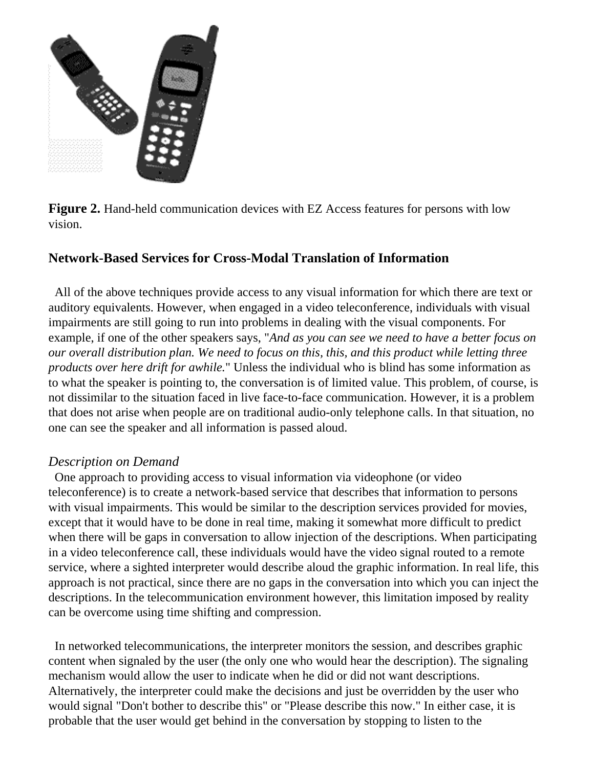

**Figure 2.** Hand-held communication devices with EZ Access features for persons with low vision.

#### **Network-Based Services for Cross-Modal Translation of Information**

 All of the above techniques provide access to any visual information for which there are text or auditory equivalents. However, when engaged in a video teleconference, individuals with visual impairments are still going to run into problems in dealing with the visual components. For example, if one of the other speakers says, "*And as you can see we need to have a better focus on our overall distribution plan. We need to focus on this, this, and this product while letting three products over here drift for awhile.*" Unless the individual who is blind has some information as to what the speaker is pointing to, the conversation is of limited value. This problem, of course, is not dissimilar to the situation faced in live face-to-face communication. However, it is a problem that does not arise when people are on traditional audio-only telephone calls. In that situation, no one can see the speaker and all information is passed aloud.

#### *Description on Demand*

 One approach to providing access to visual information via videophone (or video teleconference) is to create a network-based service that describes that information to persons with visual impairments. This would be similar to the description services provided for movies, except that it would have to be done in real time, making it somewhat more difficult to predict when there will be gaps in conversation to allow injection of the descriptions. When participating in a video teleconference call, these individuals would have the video signal routed to a remote service, where a sighted interpreter would describe aloud the graphic information. In real life, this approach is not practical, since there are no gaps in the conversation into which you can inject the descriptions. In the telecommunication environment however, this limitation imposed by reality can be overcome using time shifting and compression.

 In networked telecommunications, the interpreter monitors the session, and describes graphic content when signaled by the user (the only one who would hear the description). The signaling mechanism would allow the user to indicate when he did or did not want descriptions. Alternatively, the interpreter could make the decisions and just be overridden by the user who would signal "Don't bother to describe this" or "Please describe this now." In either case, it is probable that the user would get behind in the conversation by stopping to listen to the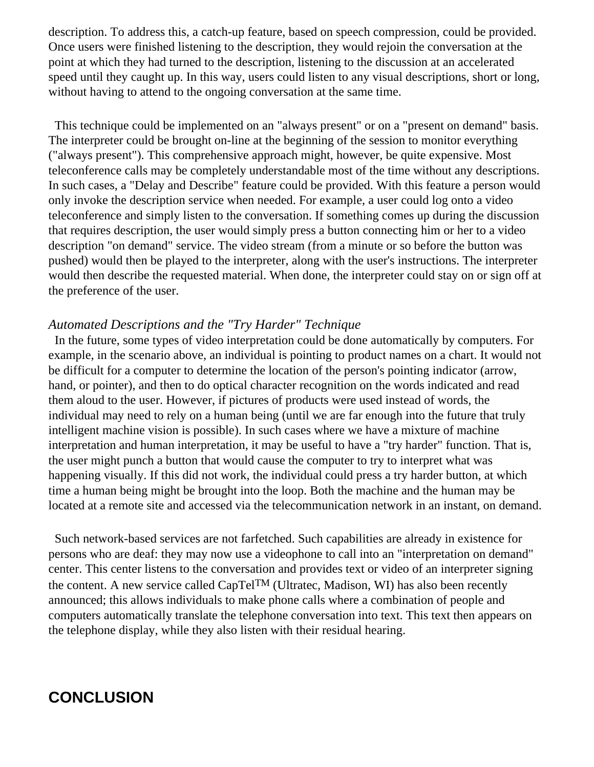description. To address this, a catch-up feature, based on speech compression, could be provided. Once users were finished listening to the description, they would rejoin the conversation at the point at which they had turned to the description, listening to the discussion at an accelerated speed until they caught up. In this way, users could listen to any visual descriptions, short or long, without having to attend to the ongoing conversation at the same time.

This technique could be implemented on an "always present" or on a "present on demand" basis. The interpreter could be brought on-line at the beginning of the session to monitor everything ("always present"). This comprehensive approach might, however, be quite expensive. Most teleconference calls may be completely understandable most of the time without any descriptions. In such cases, a "Delay and Describe" feature could be provided. With this feature a person would only invoke the description service when needed. For example, a user could log onto a video teleconference and simply listen to the conversation. If something comes up during the discussion that requires description, the user would simply press a button connecting him or her to a video description "on demand" service. The video stream (from a minute or so before the button was pushed) would then be played to the interpreter, along with the user's instructions. The interpreter would then describe the requested material. When done, the interpreter could stay on or sign off at the preference of the user.

#### *Automated Descriptions and the "Try Harder" Technique*

 In the future, some types of video interpretation could be done automatically by computers. For example, in the scenario above, an individual is pointing to product names on a chart. It would not be difficult for a computer to determine the location of the person's pointing indicator (arrow, hand, or pointer), and then to do optical character recognition on the words indicated and read them aloud to the user. However, if pictures of products were used instead of words, the individual may need to rely on a human being (until we are far enough into the future that truly intelligent machine vision is possible). In such cases where we have a mixture of machine interpretation and human interpretation, it may be useful to have a "try harder" function. That is, the user might punch a button that would cause the computer to try to interpret what was happening visually. If this did not work, the individual could press a try harder button, at which time a human being might be brought into the loop. Both the machine and the human may be located at a remote site and accessed via the telecommunication network in an instant, on demand.

 Such network-based services are not farfetched. Such capabilities are already in existence for persons who are deaf: they may now use a videophone to call into an "interpretation on demand" center. This center listens to the conversation and provides text or video of an interpreter signing the content. A new service called CapTelTM (Ultratec, Madison, WI) has also been recently announced; this allows individuals to make phone calls where a combination of people and computers automatically translate the telephone conversation into text. This text then appears on the telephone display, while they also listen with their residual hearing.

# **CONCLUSION**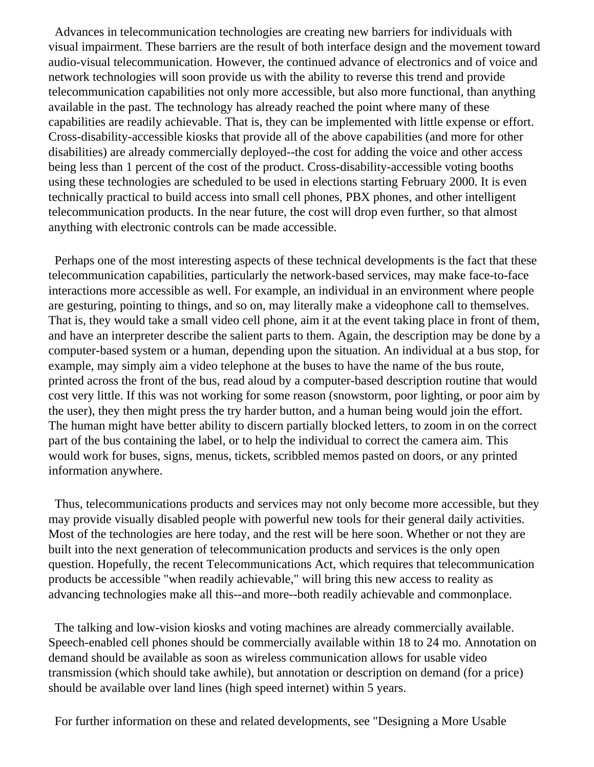Advances in telecommunication technologies are creating new barriers for individuals with visual impairment. These barriers are the result of both interface design and the movement toward audio-visual telecommunication. However, the continued advance of electronics and of voice and network technologies will soon provide us with the ability to reverse this trend and provide telecommunication capabilities not only more accessible, but also more functional, than anything available in the past. The technology has already reached the point where many of these capabilities are readily achievable. That is, they can be implemented with little expense or effort. Cross-disability-accessible kiosks that provide all of the above capabilities (and more for other disabilities) are already commercially deployed--the cost for adding the voice and other access being less than 1 percent of the cost of the product. Cross-disability-accessible voting booths using these technologies are scheduled to be used in elections starting February 2000. It is even technically practical to build access into small cell phones, PBX phones, and other intelligent telecommunication products. In the near future, the cost will drop even further, so that almost anything with electronic controls can be made accessible.

 Perhaps one of the most interesting aspects of these technical developments is the fact that these telecommunication capabilities, particularly the network-based services, may make face-to-face interactions more accessible as well. For example, an individual in an environment where people are gesturing, pointing to things, and so on, may literally make a videophone call to themselves. That is, they would take a small video cell phone, aim it at the event taking place in front of them, and have an interpreter describe the salient parts to them. Again, the description may be done by a computer-based system or a human, depending upon the situation. An individual at a bus stop, for example, may simply aim a video telephone at the buses to have the name of the bus route, printed across the front of the bus, read aloud by a computer-based description routine that would cost very little. If this was not working for some reason (snowstorm, poor lighting, or poor aim by the user), they then might press the try harder button, and a human being would join the effort. The human might have better ability to discern partially blocked letters, to zoom in on the correct part of the bus containing the label, or to help the individual to correct the camera aim. This would work for buses, signs, menus, tickets, scribbled memos pasted on doors, or any printed information anywhere.

 Thus, telecommunications products and services may not only become more accessible, but they may provide visually disabled people with powerful new tools for their general daily activities. Most of the technologies are here today, and the rest will be here soon. Whether or not they are built into the next generation of telecommunication products and services is the only open question. Hopefully, the recent Telecommunications Act, which requires that telecommunication products be accessible "when readily achievable," will bring this new access to reality as advancing technologies make all this--and more--both readily achievable and commonplace.

 The talking and low-vision kiosks and voting machines are already commercially available. Speech-enabled cell phones should be commercially available within 18 to 24 mo. Annotation on demand should be available as soon as wireless communication allows for usable video transmission (which should take awhile), but annotation or description on demand (for a price) should be available over land lines (high speed internet) within 5 years.

For further information on these and related developments, see "Designing a More Usable